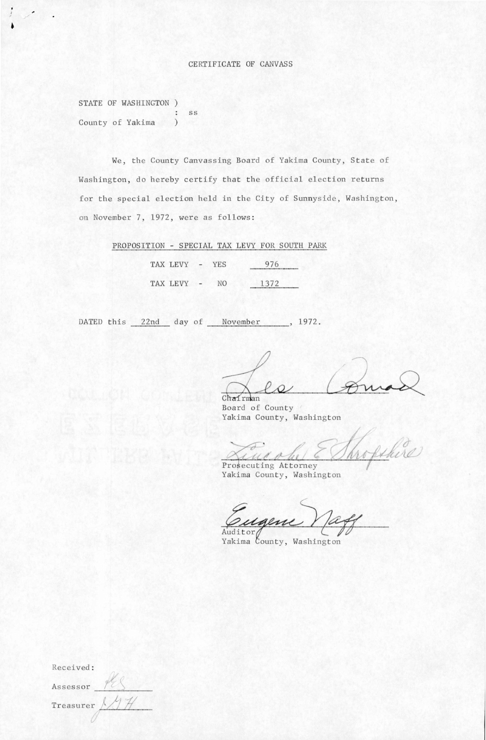## CERTIFICATE OF CANVASS

STATE OF WASHINGTON ) : ss County of Yakima )

We, the County Canvassing Board of Yakima County, State of Washington, do hereby certify that the official election returns for the special election held in the City of Sunnyside, Washington, on November 7, 1972, were as follows:

PROPOSITION - SPECIAL TAX LEVY FOR SOUTH PARK

|  | TAX LEVY - |     | YES | 976  |
|--|------------|-----|-----|------|
|  | TAX LEVY   | $-$ | NO. | 1372 |

DATED this 22nd day of November , 1972.

Chairman

Board of County Yakima County, Washington

hofshire

Prosecuting Attorney Yakima County, Washington

Auditor

Yakima County, Washington

| Received: |  |
|-----------|--|
| Assessor  |  |
| Treasurer |  |